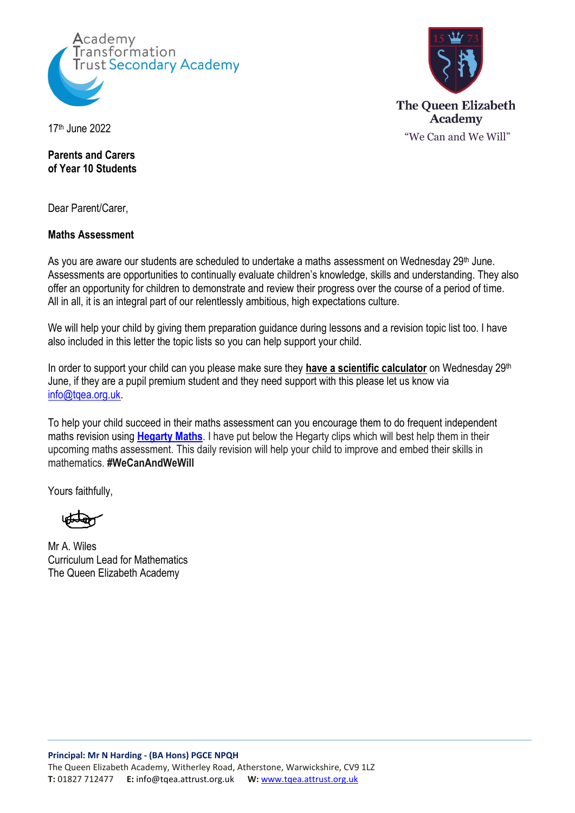



**Parents and Carers of Year 10 Students**

Dear Parent/Carer,

## **Maths Assessment**

As you are aware our students are scheduled to undertake a maths assessment on Wednesday 29th June. Assessments are opportunities to continually evaluate children's knowledge, skills and understanding. They also offer an opportunity for children to demonstrate and review their progress over the course of a period of time. All in all, it is an integral part of our relentlessly ambitious, high expectations culture.

We will help your child by giving them preparation guidance during lessons and a revision topic list too. I have also included in this letter the topic lists so you can help support your child.

In order to support your child can you please make sure they **have a scientific calculator** on Wednesday 29<sup>th</sup> June, if they are a pupil premium student and they need support with this please let us know via [info@tqea.org.uk.](mailto:info@tqea.org.uk)

To help your child succeed in their maths assessment can you encourage them to do frequent independent maths revision using **[Hegarty Maths](https://hegartymaths.com/)**. I have put below the Hegarty clips which will best help them in their upcoming maths assessment. This daily revision will help your child to improve and embed their skills in mathematics. **#WeCanAndWeWill**

Yours faithfully,

Mr A. Wiles Curriculum Lead for Mathematics The Queen Elizabeth Academy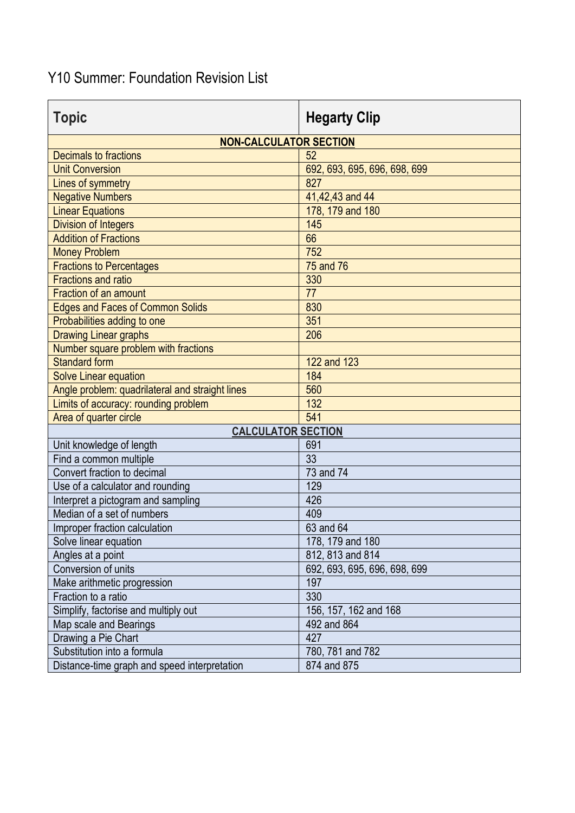## Y10 Summer: Foundation Revision List

| <b>Topic</b>                                    | <b>Hegarty Clip</b>          |  |
|-------------------------------------------------|------------------------------|--|
| <b>NON-CALCULATOR SECTION</b>                   |                              |  |
| <b>Decimals to fractions</b>                    | 52                           |  |
| <b>Unit Conversion</b>                          | 692, 693, 695, 696, 698, 699 |  |
| Lines of symmetry                               | 827                          |  |
| <b>Negative Numbers</b>                         | 41,42,43 and 44              |  |
| <b>Linear Equations</b>                         | 178, 179 and 180             |  |
| <b>Division of Integers</b>                     | 145                          |  |
| <b>Addition of Fractions</b>                    | 66                           |  |
| <b>Money Problem</b>                            | 752                          |  |
| <b>Fractions to Percentages</b>                 | 75 and 76                    |  |
| <b>Fractions and ratio</b>                      | 330                          |  |
| <b>Fraction of an amount</b>                    | 77                           |  |
| <b>Edges and Faces of Common Solids</b>         | 830                          |  |
| Probabilities adding to one                     | 351                          |  |
| <b>Drawing Linear graphs</b>                    | 206                          |  |
| Number square problem with fractions            |                              |  |
| <b>Standard form</b>                            | 122 and 123                  |  |
| <b>Solve Linear equation</b>                    | 184                          |  |
| Angle problem: quadrilateral and straight lines | 560                          |  |
| Limits of accuracy: rounding problem            | 132                          |  |
| Area of quarter circle                          | 541                          |  |
| <b>CALCULATOR SECTION</b>                       |                              |  |
| Unit knowledge of length                        | 691                          |  |
| Find a common multiple                          | 33                           |  |
| Convert fraction to decimal                     | 73 and 74                    |  |
| Use of a calculator and rounding                | 129                          |  |
| Interpret a pictogram and sampling              | 426                          |  |
| Median of a set of numbers                      | 409                          |  |
| Improper fraction calculation                   | 63 and 64                    |  |
| Solve linear equation                           | 178, 179 and 180             |  |
| Angles at a point                               | 812, 813 and 814             |  |
| Conversion of units                             | 692, 693, 695, 696, 698, 699 |  |
| Make arithmetic progression                     | 197                          |  |
| Fraction to a ratio                             | 330                          |  |
| Simplify, factorise and multiply out            | 156, 157, 162 and 168        |  |
| Map scale and Bearings                          | 492 and 864                  |  |
| Drawing a Pie Chart                             | 427                          |  |
| Substitution into a formula                     | 780, 781 and 782             |  |
| Distance-time graph and speed interpretation    | 874 and 875                  |  |